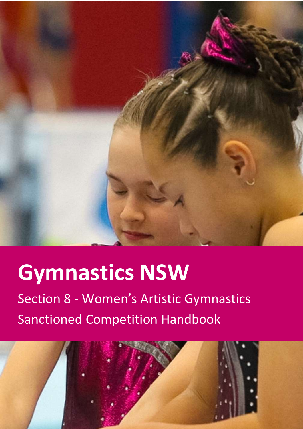

# **Gymnastics NSW**

Section 8 - Women's Artistic Gymnastics Sanctioned Competition Handbook

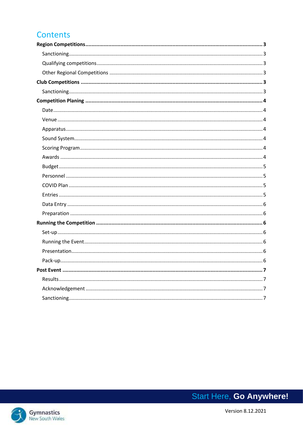# **Contents**

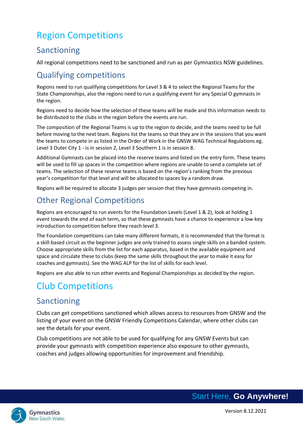# <span id="page-2-0"></span>Region Competitions

# <span id="page-2-1"></span>Sanctioning

All regional competitions need to be sanctioned and run as per Gymnastics NSW guidelines.

# <span id="page-2-2"></span>Qualifying competitions

Regions need to run qualifying competitions for Level 3 & 4 to select the Regional Teams for the State Championships, also the regions need to run a qualifying event for any Special O gymnasts in the region.

Regions need to decide how the selection of these teams will be made and this information needs to be distributed to the clubs in the region before the events are run.

The composition of the Regional Teams is up to the region to decide, and the teams need to be full before moving to the next team. Regions list the teams so that they are in the sessions that you want the teams to compete in as listed in the Order of Work in the GNSW WAG Technical Regulations eg. Level 3 Outer City 1 - is in session 2, Level 3 Southern 1 is in session 8.

Additional Gymnasts can be placed into the reserve teams and listed on the entry form. These teams will be used to fill up spaces in the competition where regions are unable to send a complete set of teams. The selection of these reserve teams is based on the region's ranking from the previous year's competition for that level and will be allocated to spaces by a random draw.

Regions will be required to allocate 3 judges per session that they have gymnasts competing in.

# <span id="page-2-3"></span>Other Regional Competitions

Regions are encouraged to run events for the Foundation Levels (Level 1 & 2), look at holding 1 event towards the end of each term, so that these gymnasts have a chance to experience a low-key introduction to competition before they reach level 3.

The Foundation competitions can take many different formats, it is recommended that the format is a skill-based circuit as the beginner judges are only trained to assess single skills on a banded system. Choose appropriate skills from the list for each apparatus, based in the available equipment and space and circulate these to clubs (keep the same skills throughout the year to make it easy for coaches and gymnasts). See the WAG ALP for the list of skills for each level.

Regions are also able to run other events and Regional Championships as decided by the region.

# <span id="page-2-4"></span>Club Competitions

# <span id="page-2-5"></span>Sanctioning

Clubs can get competitions sanctioned which allows access to resources from GNSW and the listing of your event on the GNSW Friendly Competitions Calendar, where other clubs can see the details for your event.

Club competitions are not able to be used for qualifying for any GNSW Events but can provide your gymnasts with competition experience also exposure to other gymnasts, coaches and judges allowing opportunities for improvement and friendship.

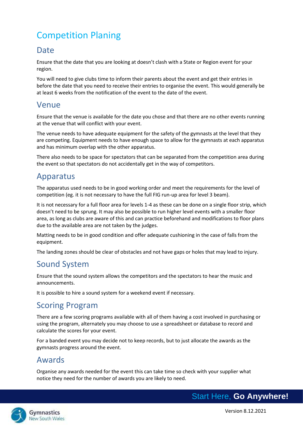# <span id="page-3-0"></span>Competition Planing

#### <span id="page-3-1"></span>**Date**

Ensure that the date that you are looking at doesn't clash with a State or Region event for your region.

You will need to give clubs time to inform their parents about the event and get their entries in before the date that you need to receive their entries to organise the event. This would generally be at least 6 weeks from the notification of the event to the date of the event.

#### <span id="page-3-2"></span>Venue

Ensure that the venue is available for the date you chose and that there are no other events running at the venue that will conflict with your event.

The venue needs to have adequate equipment for the safety of the gymnasts at the level that they are competing. Equipment needs to have enough space to allow for the gymnasts at each apparatus and has minimum overlap with the other apparatus.

There also needs to be space for spectators that can be separated from the competition area during the event so that spectators do not accidentally get in the way of competitors.

### <span id="page-3-3"></span>Apparatus

The apparatus used needs to be in good working order and meet the requirements for the level of competition (eg. it is not necessary to have the full FIG run-up area for level 3 beam).

It is not necessary for a full floor area for levels 1-4 as these can be done on a single floor strip, which doesn't need to be sprung. It may also be possible to run higher level events with a smaller floor area, as long as clubs are aware of this and can practice beforehand and modifications to floor plans due to the available area are not taken by the judges.

Matting needs to be in good condition and offer adequate cushioning in the case of falls from the equipment.

The landing zones should be clear of obstacles and not have gaps or holes that may lead to injury.

# <span id="page-3-4"></span>Sound System

Ensure that the sound system allows the competitors and the spectators to hear the music and announcements.

It is possible to hire a sound system for a weekend event if necessary.

#### <span id="page-3-5"></span>Scoring Program

There are a few scoring programs available with all of them having a cost involved in purchasing or using the program, alternately you may choose to use a spreadsheet or database to record and calculate the scores for your event.

For a banded event you may decide not to keep records, but to just allocate the awards as the gymnasts progress around the event.

#### <span id="page-3-6"></span>Awards

Organise any awards needed for the event this can take time so check with your supplier what notice they need for the number of awards you are likely to need.

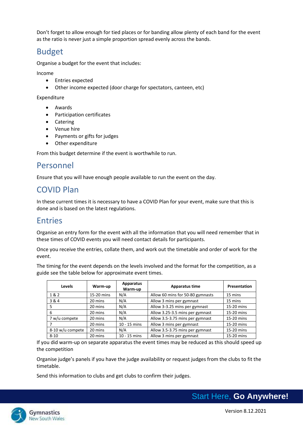Don't forget to allow enough for tied places or for banding allow plenty of each band for the event as the ratio is never just a simple proportion spread evenly across the bands.

#### <span id="page-4-0"></span>Budget

Organise a budget for the event that includes:

Income

- Entries expected
- Other income expected (door charge for spectators, canteen, etc)

Expenditure

- Awards
- Participation certificates
- Catering
- Venue hire
- Payments or gifts for judges
- Other expenditure

From this budget determine if the event is worthwhile to run.

#### <span id="page-4-1"></span>Personnel

Ensure that you will have enough people available to run the event on the day.

# <span id="page-4-2"></span>COVID Plan

In these current times it is necessary to have a COVID Plan for your event, make sure that this is done and is based on the latest regulations.

#### <span id="page-4-3"></span>Entries

Organise an entry form for the event with all the information that you will need remember that in these times of COVID events you will need contact details for participants.

Once you receive the entries, collate them, and work out the timetable and order of work for the event.

The timing for the event depends on the levels involved and the format for the competition, as a guide see the table below for approximate event times.

| <b>Levels</b>    | Warm-up    | <b>Apparatus</b><br>Warm-up | <b>Apparatus time</b>            | Presentation |
|------------------|------------|-----------------------------|----------------------------------|--------------|
| 1&2              | 15-20 mins | N/A                         | Allow 60 mins for 50-80 gymnasts | 15 mins      |
| 3&4              | 20 mins    | N/A                         | Allow 3 mins per gymnast         | 15 mins      |
| 5                | 20 mins    | N/A                         | Allow 3-3.25 mins per gymnast    | 15-20 mins   |
| 6                | 20 mins    | N/A                         | Allow 3.25-3.5 mins per gymnast  | 15-20 mins   |
| 7 w/u compete    | 20 mins    | N/A                         | Allow 3.5-3.75 mins per gymnast  | 15-20 mins   |
|                  | 20 mins    | $10 - 15$ mins              | Allow 3 mins per gymnast         | 15-20 mins   |
| 8-10 w/u compete | 20 mins    | N/A                         | Allow 3.5-3.75 mins per gymnast  | 15-20 mins   |
| $8 - 10$         | 20 mins    | $10 - 15$ mins              | Allow 3 mins per gymnast         | 15-20 mins   |

If you did warm-up on separate apparatus the event times may be reduced as this should speed up the competition

Organise judge's panels if you have the judge availability or request judges from the clubs to fit the timetable.

Send this information to clubs and get clubs to confirm their judges.

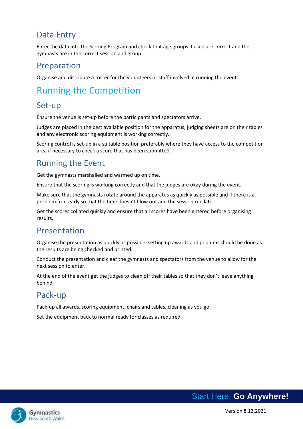# <span id="page-5-0"></span>Data Entry

Enter the data into the Scoring Program and check that age groups if used are correct and the gymnasts are in the correct session and group.

#### <span id="page-5-1"></span>Preparation

Organise and distribute a roster for the volunteers or staff involved in running the event.

# <span id="page-5-2"></span>Running the Competition

### <span id="page-5-3"></span>Set-up

Ensure the venue is set-up before the participants and spectators arrive.

Judges are placed in the best available position for the apparatus, judging sheets are on their tables and any electronic scoring equipment is working correctly.

Scoring control is set-up in a suitable position preferably where they have access to the competition area if necessary to check a score that has been submitted.

#### <span id="page-5-4"></span>Running the Event

Get the gymnasts marshalled and warmed up on time.

Ensure that the scoring is working correctly and that the judges are okay during the event.

Make sure that the gymnasts rotate around the apparatus as quickly as possible and if there is a problem fix it early so that the time doesn't blow out and the session run late.

Get the scores collated quickly and ensure that all scores have been entered before organising results.

#### <span id="page-5-5"></span>Presentation

Organise the presentation as quickly as possible, setting up awards and podiums should be done as the results are being checked and printed.

Conduct the presentation and clear the gymnasts and spectators from the venue to allow for the next session to enter.

At the end of the event get the judges to clean off their tables so that they don't leave anything behind.

# <span id="page-5-6"></span>Pack-up

Pack-up all awards, scoring equipment, chairs and tables, cleaning as you go.

Set the equipment back to normal ready for classes as required.